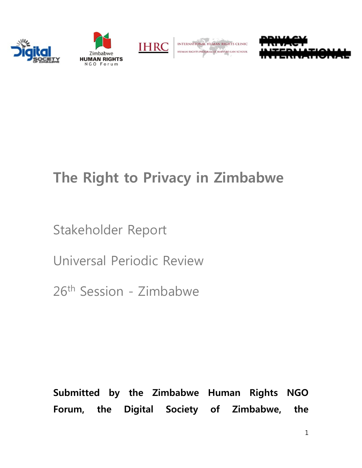





INTERNATIONAL HUMAN RIGHTS CLINIC **HUMAN RIGHTS PROGRAM AT HARVARD LAW SCHOOL** 



# **The Right to Privacy in Zimbabwe**

Stakeholder Report

Universal Periodic Review

26th Session - Zimbabwe

**Submitted by the Zimbabwe Human Rights NGO Forum, the Digital Society of Zimbabwe, the**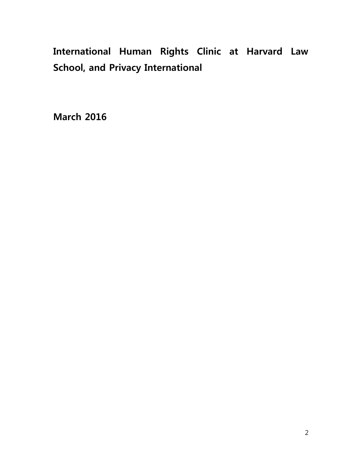# **International Human Rights Clinic at Harvard Law School, and Privacy International**

**March 2016**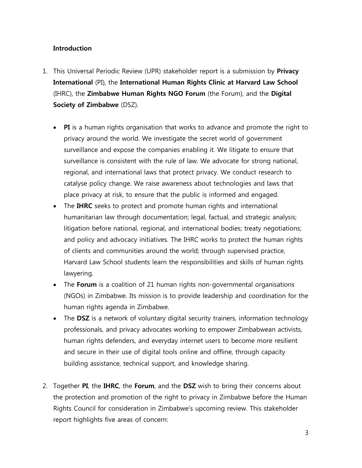# **Introduction**

- 1. This Universal Periodic Review (UPR) stakeholder report is a submission by **Privacy International** (PI), the **International Human Rights Clinic at Harvard Law School** (IHRC), the **Zimbabwe Human Rights NGO Forum** (the Forum), and the **Digital Society of Zimbabwe** (DSZ).
	- **PI** is a human rights organisation that works to advance and promote the right to privacy around the world. We investigate the secret world of government surveillance and expose the companies enabling it. We litigate to ensure that surveillance is consistent with the rule of law. We advocate for strong national, regional, and international laws that protect privacy. We conduct research to catalyse policy change. We raise awareness about technologies and laws that place privacy at risk, to ensure that the public is informed and engaged.
	- The **IHRC** seeks to protect and promote human rights and international humanitarian law through documentation; legal, factual, and strategic analysis; litigation before national, regional, and international bodies; treaty negotiations; and policy and advocacy initiatives. The IHRC works to protect the human rights of clients and communities around the world; through supervised practice, Harvard Law School students learn the responsibilities and skills of human rights lawyering.
	- The **Forum** is a coalition of 21 human rights non-governmental organisations (NGOs) in Zimbabwe. Its mission is to provide leadership and coordination for the human rights agenda in Zimbabwe.
	- The **DSZ** is a network of voluntary digital security trainers, information technology professionals, and privacy advocates working to empower Zimbabwean activists, human rights defenders, and everyday internet users to become more resilient and secure in their use of digital tools online and offline, through capacity building assistance, technical support, and knowledge sharing.
- 2. Together **PI**, the **IHRC**, the **Forum**, and the **DSZ** wish to bring their concerns about the protection and promotion of the right to privacy in Zimbabwe before the Human Rights Council for consideration in Zimbabwe's upcoming review. This stakeholder report highlights five areas of concern: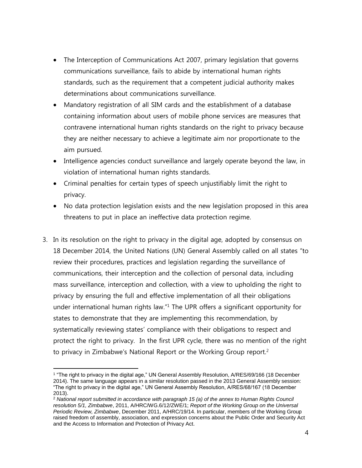- The Interception of Communications Act 2007, primary legislation that governs communications surveillance, fails to abide by international human rights standards, such as the requirement that a competent judicial authority makes determinations about communications surveillance.
- Mandatory registration of all SIM cards and the establishment of a database containing information about users of mobile phone services are measures that contravene international human rights standards on the right to privacy because they are neither necessary to achieve a legitimate aim nor proportionate to the aim pursued.
- Intelligence agencies conduct surveillance and largely operate beyond the law, in violation of international human rights standards.
- Criminal penalties for certain types of speech unjustifiably limit the right to privacy.
- No data protection legislation exists and the new legislation proposed in this area threatens to put in place an ineffective data protection regime.
- 3. In its resolution on the right to privacy in the digital age, adopted by consensus on 18 December 2014, the United Nations (UN) General Assembly called on all states "to review their procedures, practices and legislation regarding the surveillance of communications, their interception and the collection of personal data, including mass surveillance, interception and collection, with a view to upholding the right to privacy by ensuring the full and effective implementation of all their obligations under international human rights law." <sup>1</sup> The UPR offers a significant opportunity for states to demonstrate that they are implementing this recommendation, by systematically reviewing states' compliance with their obligations to respect and protect the right to privacy. In the first UPR cycle, there was no mention of the right to privacy in Zimbabwe's National Report or the Working Group report.<sup>2</sup>

 $\overline{a}$ 1 "The right to privacy in the digital age," UN General Assembly Resolution, A/RES/69/166 (18 December 2014). The same language appears in a similar resolution passed in the 2013 General Assembly session: "The right to privacy in the digital age," UN General Assembly Resolution, A/RES/68/167 (18 December 2013).

<sup>2</sup> *National report submitted in accordance with paragraph 15 (a) of the annex to Human Rights Council resolution 5/1, Zimbabwe*, 2011, A/HRC/WG.6/12/ZWE/1; *Report of the Working Group on the Universal Periodic Review, Zimbabwe*, December 2011, A/HRC/19/14. In particular, members of the Working Group raised freedom of assembly, association, and expression concerns about the Public Order and Security Act and the Access to Information and Protection of Privacy Act.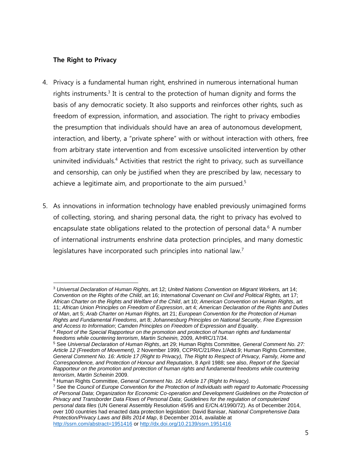# **The Right to Privacy**

- 4. Privacy is a fundamental human right, enshrined in numerous international human rights instruments.<sup>3</sup> It is central to the protection of human dignity and forms the basis of any democratic society. It also supports and reinforces other rights, such as freedom of expression, information, and association. The right to privacy embodies the presumption that individuals should have an area of autonomous development, interaction, and liberty, a "private sphere" with or without interaction with others, free from arbitrary state intervention and from excessive unsolicited intervention by other uninvited individuals.<sup>4</sup> Activities that restrict the right to privacy, such as surveillance and censorship, can only be justified when they are prescribed by law, necessary to achieve a legitimate aim, and proportionate to the aim pursued.<sup>5</sup>
- 5. As innovations in information technology have enabled previously unimagined forms of collecting, storing, and sharing personal data, the right to privacy has evolved to encapsulate state obligations related to the protection of personal data. $6$  A number of international instruments enshrine data protection principles, and many domestic legislatures have incorporated such principles into national law.<sup>7</sup>

 $\overline{a}$ <sup>3</sup> *Universal Declaration of Human Rights*, art 12; *United Nations Convention on Migrant Workers,* art 14; *Convention on the Rights of the Child*, art 16; *International Covenant on Civil and Political Rights,* art 17; *African Charter on the Rights and Welfare of the Child*, art 10; *American Convention on Human Rights*, art 11; *African Union Principles on Freedom of Expression*, art 4; *American Declaration of the Rights and Duties of Man*, art 5; *Arab Charter on Human Rights*, art 21; *European Convention for the Protection of Human Rights and Fundamental Freedoms*, art 8; *Johannesburg Principles on National Security, Free Expression and Access to Information*; *Camden Principles on Freedom of Expression and Equality*.

<sup>4</sup> *Report of the Special Rapporteur on the promotion and protection of human rights and fundamental freedoms while countering terrorism*, *Martin Scheinin,* 2009, A/HRC/17/34.

<sup>5</sup> See *Universal Declaration of Human Rights*, art 29; Human Rights Committee, *General Comment No. 27: Article 12 (Freedom of Movement),* 2 November 1999, CCPR/C/21/Rev.1/Add.9; Human Rights Committee, *General Comment No. 16: Article 17 (Right to Privacy), The Right to Respect of Privacy, Family, Home and Correspondence, and Protection of Honour and Reputation*, 8 April 1988; see also, *Report of the Special Rapporteur on the promotion and protection of human rights and fundamental freedoms while countering terrorism*, *Martin Scheinin* 2009.

<sup>6</sup> Human Rights Committee, *General Comment No. 16: Article 17 (Right to Privacy).*

<sup>7</sup> See the *Council of Europe Convention for the Protection of Individuals with regard to Automatic Processing of Personal Data*; *Organization for Economic Co-operation and Development Guidelines on the Protection of Privacy and Transborder Data Flows of Personal Data*; *Guidelines for the regulation of computerized personal data files* (UN General Assembly Resolution 45/95 and E/CN.4/1990/72). As of December 2014, over 100 countries had enacted data protection legislation: David Banisar, *National Comprehensive Data Protection/Privacy Laws and Bills 2014 Map*, 8 December 2014, available at <http://ssrn.com/abstract=1951416> or<http://dx.doi.org/10.2139/ssrn.1951416>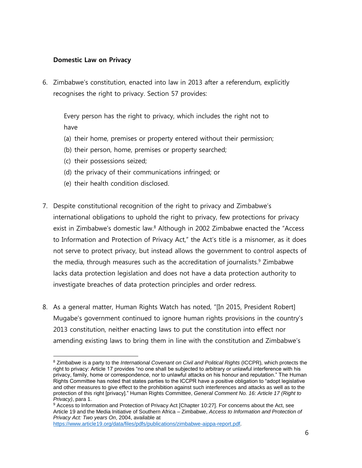#### **Domestic Law on Privacy**

6. Zimbabwe's constitution, enacted into law in 2013 after a referendum, explicitly recognises the right to privacy. Section 57 provides:

Every person has the right to privacy, which includes the right not to have

- (a) their home, premises or property entered without their permission;
- (b) their person, home, premises or property searched;
- (c) their possessions seized;
- (d) the privacy of their communications infringed; or
- (e) their health condition disclosed.
- 7. Despite constitutional recognition of the right to privacy and Zimbabwe's international obligations to uphold the right to privacy, few protections for privacy exist in Zimbabwe's domestic law.<sup>8</sup> Although in 2002 Zimbabwe enacted the "Access to Information and Protection of Privacy Act," the Act's title is a misnomer, as it does not serve to protect privacy, but instead allows the government to control aspects of the media, through measures such as the accreditation of journalists. <sup>9</sup> Zimbabwe lacks data protection legislation and does not have a data protection authority to investigate breaches of data protection principles and order redress.
- 8. As a general matter, Human Rights Watch has noted, "[In 2015, President Robert] Mugabe's government continued to ignore human rights provisions in the country's 2013 constitution, neither enacting laws to put the constitution into effect nor amending existing laws to bring them in line with the constitution and Zimbabwe's

[https://www.article19.org/data/files/pdfs/publications/zimbabwe-aippa-report.pdf.](https://www.article19.org/data/files/pdfs/publications/zimbabwe-aippa-report.pdf)

 $\overline{a}$ <sup>8</sup> Zimbabwe is a party to the *International Covenant on Civil and Political Rights* (ICCPR)*,* which protects the right to privacy: Article 17 provides "no one shall be subjected to arbitrary or unlawful interference with his privacy, family, home or correspondence, nor to unlawful attacks on his honour and reputation." The Human Rights Committee has noted that states parties to the ICCPR have a positive obligation to "adopt legislative and other measures to give effect to the prohibition against such interferences and attacks as well as to the protection of this right [privacy]." Human Rights Committee, *General Comment No. 16: Article 17 (Right to Privacy)*, para 1.

<sup>9</sup> Access to Information and Protection of Privacy Act [Chapter 10:27]. For concerns about the Act, see Article 19 and the Media Initiative of Southern Africa – Zimbabwe, *Access to Information and Protection of Privacy Act: Two years On*, 2004, available at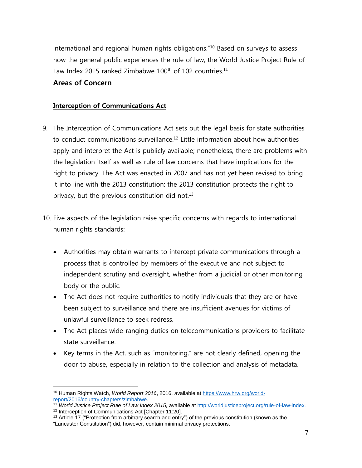international and regional human rights obligations."<sup>10</sup> Based on surveys to assess how the general public experiences the rule of law, the World Justice Project Rule of Law Index 2015 ranked Zimbabwe  $100<sup>th</sup>$  of 102 countries.<sup>11</sup>

# **Areas of Concern**

#### **Interception of Communications Act**

- 9. The Interception of Communications Act sets out the legal basis for state authorities to conduct communications surveillance.<sup>12</sup> Little information about how authorities apply and interpret the Act is publicly available; nonetheless, there are problems with the legislation itself as well as rule of law concerns that have implications for the right to privacy. The Act was enacted in 2007 and has not yet been revised to bring it into line with the 2013 constitution: the 2013 constitution protects the right to privacy, but the previous constitution did not. $13$
- 10. Five aspects of the legislation raise specific concerns with regards to international human rights standards:
	- Authorities may obtain warrants to intercept private communications through a process that is controlled by members of the executive and not subject to independent scrutiny and oversight, whether from a judicial or other monitoring body or the public.
	- The Act does not require authorities to notify individuals that they are or have been subject to surveillance and there are insufficient avenues for victims of unlawful surveillance to seek redress.
	- The Act places wide-ranging duties on telecommunications providers to facilitate state surveillance.
	- Key terms in the Act, such as "monitoring," are not clearly defined, opening the door to abuse, especially in relation to the collection and analysis of metadata.

 $\overline{a}$ <sup>10</sup> Human Rights Watch, *World Report 2016*, 2016, available at [https://www.hrw.org/world](https://www.hrw.org/world-report/2016/country-chapters/zimbabwe)[report/2016/country-chapters/zimbabwe.](https://www.hrw.org/world-report/2016/country-chapters/zimbabwe)

<sup>11</sup> *World Justice Project Rule of Law Index 2015,* available at [http://worldjusticeproject.org/rule-of-law-index.](http://worldjusticeproject.org/rule-of-law-index) <sup>12</sup> Interception of Communications Act [Chapter 11:20].

 $13$  Article 17 ("Protection from arbitrary search and entry") of the previous constitution (known as the "Lancaster Constitution") did, however, contain minimal privacy protections.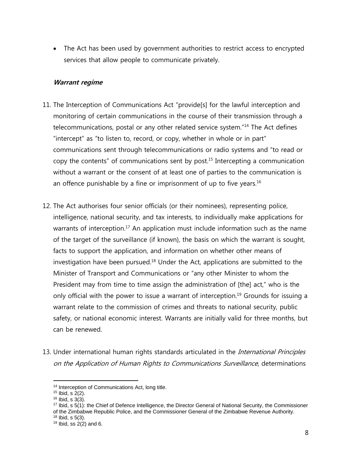• The Act has been used by government authorities to restrict access to encrypted services that allow people to communicate privately.

#### **Warrant regime**

- 11. The Interception of Communications Act "provide[s] for the lawful interception and monitoring of certain communications in the course of their transmission through a telecommunications, postal or any other related service system."<sup>14</sup> The Act defines "intercept" as "to listen to, record, or copy, whether in whole or in part" communications sent through telecommunications or radio systems and "to read or copy the contents" of communications sent by post.<sup>15</sup> Intercepting a communication without a warrant or the consent of at least one of parties to the communication is an offence punishable by a fine or imprisonment of up to five years.<sup>16</sup>
- 12. The Act authorises four senior officials (or their nominees), representing police, intelligence, national security, and tax interests, to individually make applications for warrants of interception.<sup>17</sup> An application must include information such as the name of the target of the surveillance (if known), the basis on which the warrant is sought, facts to support the application, and information on whether other means of investigation have been pursued. <sup>18</sup> Under the Act, applications are submitted to the Minister of Transport and Communications or "any other Minister to whom the President may from time to time assign the administration of [the] act," who is the only official with the power to issue a warrant of interception.<sup>19</sup> Grounds for issuing a warrant relate to the commission of crimes and threats to national security, public safety, or national economic interest. Warrants are initially valid for three months, but can be renewed.
- 13. Under international human rights standards articulated in the *International Principles* on the Application of Human Rights to Communications Surveillance, determinations

<sup>&</sup>lt;sup>14</sup> Interception of Communications Act, long title.

<sup>15</sup> Ibid, s 2(2).

<sup>16</sup> Ibid, s 3(3).

<sup>17</sup> Ibid, s 5(1): the Chief of Defence Intelligence, the Director General of National Security, the Commissioner of the Zimbabwe Republic Police, and the Commissioner General of the Zimbabwe Revenue Authority.

 $18$  Ibid, s  $5(3)$ .

 $19$  Ibid, ss 2(2) and 6.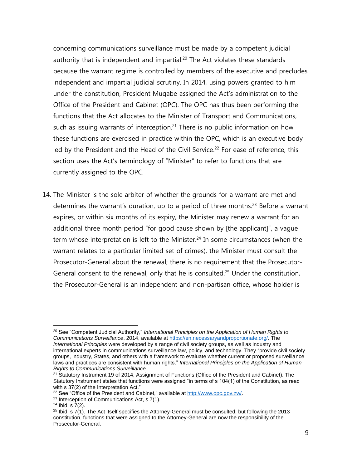concerning communications surveillance must be made by a competent judicial authority that is independent and impartial. <sup>20</sup> The Act violates these standards because the warrant regime is controlled by members of the executive and precludes independent and impartial judicial scrutiny. In 2014, using powers granted to him under the constitution, President Mugabe assigned the Act's administration to the Office of the President and Cabinet (OPC). The OPC has thus been performing the functions that the Act allocates to the Minister of Transport and Communications, such as issuing warrants of interception.<sup>21</sup> There is no public information on how these functions are exercised in practice within the OPC, which is an executive body led by the President and the Head of the Civil Service.<sup>22</sup> For ease of reference, this section uses the Act's terminology of "Minister" to refer to functions that are currently assigned to the OPC.

14. The Minister is the sole arbiter of whether the grounds for a warrant are met and determines the warrant's duration, up to a period of three months.<sup>23</sup> Before a warrant expires, or within six months of its expiry, the Minister may renew a warrant for an additional three month period "for good cause shown by [the applicant]", a vague term whose interpretation is left to the Minister. <sup>24</sup> In some circumstances (when the warrant relates to a particular limited set of crimes), the Minister must consult the Prosecutor-General about the renewal; there is no requirement that the Prosecutor-General consent to the renewal, only that he is consulted.<sup>25</sup> Under the constitution, the Prosecutor-General is an independent and non-partisan office, whose holder is

<sup>20</sup> See "Competent Judicial Authority," *International Principles on the Application of Human Rights to Communications Surveillance*, 2014, available a[t https://en.necessaryandproportionate.org/.](https://en.necessaryandproportionate.org/) The *International Principles* were developed by a range of civil society groups, as well as industry and international experts in communications surveillance law, policy, and technology. They "provide civil society groups, industry, States, and others with a framework to evaluate whether current or proposed surveillance laws and practices are consistent with human rights." *International Principles on the Application of Human Rights to Communications Surveillance*.

<sup>&</sup>lt;sup>21</sup> Statutory Instrument 19 of 2014, Assignment of Functions (Office of the President and Cabinet). The Statutory Instrument states that functions were assigned "in terms of s 104(1) of the Constitution, as read with s  $37(2)$  of the Interpretation Act."

<sup>&</sup>lt;sup>22</sup> See "Office of the President and Cabinet," available at [http://www.opc.gov.zw/.](http://www.opc.gov.zw/)

<sup>23</sup> Interception of Communications Act, s 7(1).

 $24$  Ibid, s  $7(2)$ .

 $25$  Ibid, s  $7(1)$ . The Act itself specifies the Attorney-General must be consulted, but following the 2013 constitution, functions that were assigned to the Attorney-General are now the responsibility of the Prosecutor-General.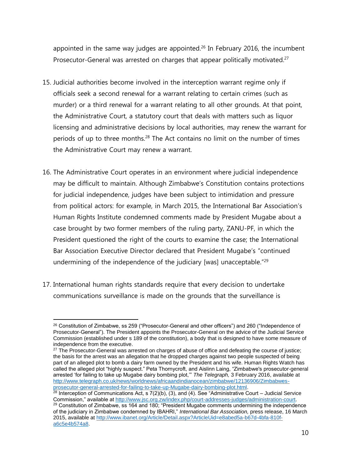appointed in the same way judges are appointed. <sup>26</sup> In February 2016, the incumbent Prosecutor-General was arrested on charges that appear politically motivated.<sup>27</sup>

- 15. Judicial authorities become involved in the interception warrant regime only if officials seek a second renewal for a warrant relating to certain crimes (such as murder) or a third renewal for a warrant relating to all other grounds. At that point, the Administrative Court, a statutory court that deals with matters such as liquor licensing and administrative decisions by local authorities, may renew the warrant for periods of up to three months.<sup>28</sup> The Act contains no limit on the number of times the Administrative Court may renew a warrant.
- 16. The Administrative Court operates in an environment where judicial independence may be difficult to maintain. Although Zimbabwe's Constitution contains protections for judicial independence, judges have been subject to intimidation and pressure from political actors: for example, in March 2015, the International Bar Association's Human Rights Institute condemned comments made by President Mugabe about a case brought by two former members of the ruling party, ZANU-PF, in which the President questioned the right of the courts to examine the case; the International Bar Association Executive Director declared that President Mugabe's "continued undermining of the independence of the judiciary [was] unacceptable."<sup>29</sup>
- 17. International human rights standards require that every decision to undertake communications surveillance is made on the grounds that the surveillance is

 $\overline{a}$ <sup>26</sup> Constitution of Zimbabwe, ss 259 ("Prosecutor-General and other officers") and 260 ("Independence of Prosecutor-General"). The President appoints the Prosecutor-General on the advice of the Judicial Service Commission (established under s 189 of the constitution), a body that is designed to have some measure of independence from the executive.

<sup>&</sup>lt;sup>27</sup> The Prosecutor-General was arrested on charges of abuse of office and defeating the course of justice; the basis for the arrest was an allegation that he dropped charges against two people suspected of being part of an alleged plot to bomb a dairy farm owned by the President and his wife. Human Rights Watch has called the alleged plot "highly suspect." Peta Thornycroft, and Aislinn Laing, "Zimbabwe's prosecutor-general arrested 'for failing to take up Mugabe dairy bombing plot,'" *The Telegraph,* 3 February 2016, available at [http://www.telegraph.co.uk/news/worldnews/africaandindianocean/zimbabwe/12136906/Zimbabwes](http://www.telegraph.co.uk/news/worldnews/africaandindianocean/zimbabwe/12136906/Zimbabwes-prosecutor-general-arrested-for-failing-to-take-up-Mugabe-dairy-bombing-plot.html)[prosecutor-general-arrested-for-failing-to-take-up-Mugabe-dairy-bombing-plot.html.](http://www.telegraph.co.uk/news/worldnews/africaandindianocean/zimbabwe/12136906/Zimbabwes-prosecutor-general-arrested-for-failing-to-take-up-Mugabe-dairy-bombing-plot.html)

 $28$  Interception of Communications Act, s  $7(2)(b)$ , (3), and (4). See "Administrative Court – Judicial Service Commission," available a[t http://www.jsc.org.zw/index.php/court-addresses-judges/administration-court.](http://www.jsc.org.zw/index.php/court-addresses-judges/administration-court) <sup>29</sup> Constitution of Zimbabwe, ss 164 and 180; "President Mugabe comments undermining the independence of the judiciary in Zimbabwe condemned by IBAHRI," *International Bar Association,* press release, 16 March 2015, available at [http://www.ibanet.org/Article/Detail.aspx?ArticleUid=e8abed5a-b67d-4bfa-810f](http://www.ibanet.org/Article/Detail.aspx?ArticleUid=e8abed5a-b67d-4bfa-810f-a6c5e4b574a8)[a6c5e4b574a8.](http://www.ibanet.org/Article/Detail.aspx?ArticleUid=e8abed5a-b67d-4bfa-810f-a6c5e4b574a8)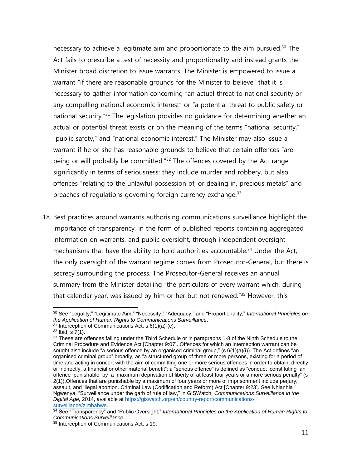necessary to achieve a legitimate aim and proportionate to the aim pursued. <sup>30</sup> The Act fails to prescribe a test of necessity and proportionality and instead grants the Minister broad discretion to issue warrants. The Minister is empowered to issue a warrant "if there are reasonable grounds for the Minister to believe" that it is necessary to gather information concerning "an actual threat to national security or any compelling national economic interest" or "a potential threat to public safety or national security."<sup>31</sup> The legislation provides no guidance for determining whether an actual or potential threat exists or on the meaning of the terms "national security," "public safety," and "national economic interest." The Minister may also issue a warrant if he or she has reasonable grounds to believe that certain offences "are being or will probably be committed.<sup>"32</sup> The offences covered by the Act range significantly in terms of seriousness: they include murder and robbery, but also offences "relating to the unlawful possession of, or dealing in, precious metals" and breaches of regulations governing foreign currency exchange.<sup>33</sup>

18. Best practices around warrants authorising communications surveillance highlight the importance of transparency, in the form of published reports containing aggregated information on warrants, and public oversight, through independent oversight mechanisms that have the ability to hold authorities accountable.<sup>34</sup> Under the Act, the only oversight of the warrant regime comes from Prosecutor-General, but there is secrecy surrounding the process. The Prosecutor-General receives an annual summary from the Minister detailing "the particulars of every warrant which, during that calendar year, was issued by him or her but not renewed."<sup>35</sup> However, this

<sup>30</sup> See "Legality," "Legitimate Aim," "Necessity," "Adequacy," and "Proportionality," *International Principles on the Application of Human Rights to Communications Surveillance*.

 $31$  Interception of Communications Act, s  $6(1)(a)-(c)$ .

 $32$  Ibid, s  $7(1)$ .

<sup>&</sup>lt;sup>33</sup> These are offences falling under the Third Schedule or in paragraphs 1-8 of the Ninth Schedule to the Criminal Procedure and Evidence Act [Chapter 9:07]. Offences for which an interception warrant can be sought also include "a serious offence by an organised criminal group," (s 6(1)(a)(i)). The Act defines "an organised criminal group" broadly, as "a structured group of three or more persons, existing for a period of time and acting in concert with the aim of committing one or more serious offences in order to obtain, directly or indirectly, a financial or other material benefit"; a "serious offence" is defined as "conduct constituting an offence punishable by a maximum deprivation of liberty of at least four years or a more serious penalty" (s 2(1)).Offences that are punishable by a maximum of four years or more of imprisonment include perjury, assault, and illegal abortion. Criminal Law (Codification and Reform) Act [Chapter 9:23]. See Nhlanhla Ngwenya, "Surveillance under the garb of rule of law," in GISWatch, *Communications Surveillance in the Digital Age,* 2014, available a[t https://giswatch.org/en/country-report/communications](https://giswatch.org/en/country-report/communications-surveillance/zimbabwe)[surveillance/zimbabwe.](https://giswatch.org/en/country-report/communications-surveillance/zimbabwe)

<sup>34</sup> See "Transparency" and "Public Oversight," *International Principles on the Application of Human Rights to Communications Surveillance*.

<sup>&</sup>lt;sup>35</sup> Interception of Communications Act, s 19.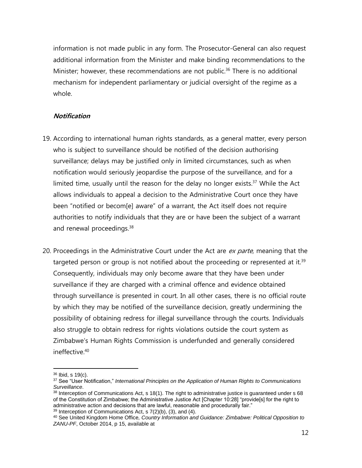information is not made public in any form. The Prosecutor-General can also request additional information from the Minister and make binding recommendations to the Minister; however, these recommendations are not public.<sup>36</sup> There is no additional mechanism for independent parliamentary or judicial oversight of the regime as a whole.

# **Notification**

- 19. According to international human rights standards, as a general matter, every person who is subject to surveillance should be notified of the decision authorising surveillance; delays may be justified only in limited circumstances, such as when notification would seriously jeopardise the purpose of the surveillance, and for a limited time, usually until the reason for the delay no longer exists.<sup>37</sup> While the Act allows individuals to appeal a decision to the Administrative Court once they have been "notified or becom[e] aware" of a warrant, the Act itself does not require authorities to notify individuals that they are or have been the subject of a warrant and renewal proceedings.<sup>38</sup>
- 20. Proceedings in the Administrative Court under the Act are ex parte, meaning that the targeted person or group is not notified about the proceeding or represented at it.<sup>39</sup> Consequently, individuals may only become aware that they have been under surveillance if they are charged with a criminal offence and evidence obtained through surveillance is presented in court. In all other cases, there is no official route by which they may be notified of the surveillance decision, greatly undermining the possibility of obtaining redress for illegal surveillance through the courts. Individuals also struggle to obtain redress for rights violations outside the court system as Zimbabwe's Human Rights Commission is underfunded and generally considered ineffective.<sup>40</sup>

<sup>36</sup> Ibid, s 19(c).

<sup>37</sup> See "User Notification," *International Principles on the Application of Human Rights to Communications Surveillance*.

 $38$  Interception of Communications Act, s 18(1). The right to administrative justice is guaranteed under s 68 of the Constitution of Zimbabwe; the Administrative Justice Act [Chapter 10:28] "provide[s] for the right to administrative action and decisions that are lawful, reasonable and procedurally fair."

 $39$  Interception of Communications Act, s  $7(2)(b)$ ,  $(3)$ , and  $(4)$ .

<sup>40</sup> See United Kingdom Home Office*, Country Information and Guidance: Zimbabwe: Political Opposition to ZANU-PF*, October 2014, p 15, available at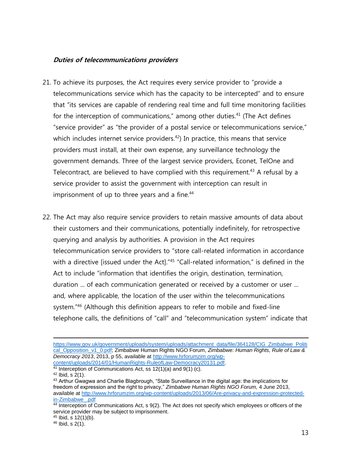### **Duties of telecommunications providers**

- 21. To achieve its purposes, the Act requires every service provider to "provide a telecommunications service which has the capacity to be intercepted" and to ensure that "its services are capable of rendering real time and full time monitoring facilities for the interception of communications," among other duties.<sup>41</sup> (The Act defines "service provider" as "the provider of a postal service or telecommunications service," which includes internet service providers.<sup>42</sup>) In practice, this means that service providers must install, at their own expense, any surveillance technology the government demands. Three of the largest service providers, Econet, TelOne and Telecontract, are believed to have complied with this requirement.<sup>43</sup> A refusal by a service provider to assist the government with interception can result in imprisonment of up to three years and a fine.<sup>44</sup>
- 22. The Act may also require service providers to retain massive amounts of data about their customers and their communications, potentially indefinitely, for retrospective querying and analysis by authorities. A provision in the Act requires telecommunication service providers to "store call-related information in accordance with a directive [issued under the Act]."45 "Call-related information," is defined in the Act to include "information that identifies the origin, destination, termination, duration ... of each communication generated or received by a customer or user ... and, where applicable, the location of the user within the telecommunications system."<sup>46</sup> (Although this definition appears to refer to mobile and fixed-line telephone calls, the definitions of "call" and "telecommunication system" indicate that

 $\overline{a}$ 

<sup>45</sup> Ibid, s 12(1)(b).

[https://www.gov.uk/government/uploads/system/uploads/attachment\\_data/file/364128/CIG\\_Zimbabwe\\_Politi](https://www.gov.uk/government/uploads/system/uploads/attachment_data/file/364128/CIG_Zimbabwe_Political_Opposition_v1_0.pdf) [cal\\_Opposition\\_v1\\_0.pdf;](https://www.gov.uk/government/uploads/system/uploads/attachment_data/file/364128/CIG_Zimbabwe_Political_Opposition_v1_0.pdf) Zimbabwe Human Rights NGO Forum, *Zimbabwe: Human Rights, Rule of Law & Democracy 2013*, 2013, p 55, available a[t http://www.hrforumzim.org/wp](http://www.hrforumzim.org/wp-content/uploads/2014/01/HumanRights-RuleofLaw-Democracy20131.pdf)[content/uploads/2014/01/HumanRights-RuleofLaw-Democracy20131.pdf.](http://www.hrforumzim.org/wp-content/uploads/2014/01/HumanRights-RuleofLaw-Democracy20131.pdf)

 $41$  Interception of Communications Act, ss 12(1)(a) and 9(1) (c).

 $42$  Ibid, s  $2(1)$ .

<sup>&</sup>lt;sup>43</sup> Arthur Gwagwa and Charlie Blagbrough, "State Surveillance in the digital age: the implications for freedom of expression and the right to privacy," *Zimbabwe Human Rights NGO Forum,* 4 June 2013, available at [http://www.hrforumzim.org/wp-content/uploads/2013/06/Are-privacy-and-expression-protected](http://www.hrforumzim.org/wp-content/uploads/2013/06/Are-privacy-and-expression-protected-in-Zimbabwe_.pdf)[in-Zimbabwe\\_.pdf](http://www.hrforumzim.org/wp-content/uploads/2013/06/Are-privacy-and-expression-protected-in-Zimbabwe_.pdf)

<sup>44</sup> Interception of Communications Act, s 9(2). The Act does not specify which employees or officers of the service provider may be subject to imprisonment.

 $46$  Ibid, s  $2(1)$ .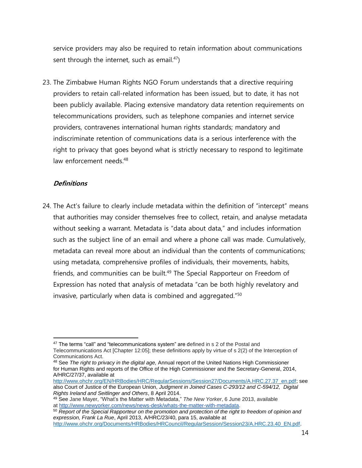service providers may also be required to retain information about communications sent through the internet, such as email. $47$ )

23. The Zimbabwe Human Rights NGO Forum understands that a directive requiring providers to retain call-related information has been issued, but to date, it has not been publicly available. Placing extensive mandatory data retention requirements on telecommunications providers, such as telephone companies and internet service providers, contravenes international human rights standards; mandatory and indiscriminate retention of communications data is a serious interference with the right to privacy that goes beyond what is strictly necessary to respond to legitimate law enforcement needs.<sup>48</sup>

#### **Definitions**

24. The Act's failure to clearly include metadata within the definition of "intercept" means that authorities may consider themselves free to collect, retain, and analyse metadata without seeking a warrant. Metadata is "data about data," and includes information such as the subject line of an email and where a phone call was made. Cumulatively, metadata can reveal more about an individual than the contents of communications; using metadata, comprehensive profiles of individuals, their movements, habits, friends, and communities can be built.<sup>49</sup> The Special Rapporteur on Freedom of Expression has noted that analysis of metadata "can be both highly revelatory and invasive, particularly when data is combined and aggregated."<sup>50</sup>

<sup>48</sup> See *The right to privacy in the digital age,* Annual report of the United Nations High Commissioner for Human Rights and reports of the Office of the High Commissioner and the Secretary-General, 2014, A/HRC/27/37, available at

 $\overline{a}$  $47$  The terms "call" and "telecommunications system" are defined in s 2 of the Postal and Telecommunications Act [Chapter 12:05]; these definitions apply by virtue of s 2(2) of the Interception of Communications Act.

[http://www.ohchr.org/EN/HRBodies/HRC/RegularSessions/Session27/Documents/A.HRC.27.37\\_en.pdf;](http://www.ohchr.org/EN/HRBodies/HRC/RegularSessions/Session27/Documents/A.HRC.27.37_en.pdf) see also Court of Justice of the European Union, *Judgment in Joined Cases C-293/12 and C-594/12, Digital Rights Ireland and Seitlinger and Others*, 8 April 2014.

<sup>49</sup> See Jane Mayer, "What's the Matter with Metadata," *The New Yorker*, 6 June 2013, available at [http://www.newyorker.com/news/news-desk/whats-the-matter-with-metadata.](http://www.newyorker.com/news/news-desk/whats-the-matter-with-metadata)

<sup>50</sup> *Report of the Special Rapporteur on the promotion and protection of the right to freedom of opinion and expression, Frank La Rue*, April 2013, A/HRC/23/40, para 15, available at [http://www.ohchr.org/Documents/HRBodies/HRCouncil/RegularSession/Session23/A.HRC.23.40\\_EN.pdf.](http://www.ohchr.org/Documents/HRBodies/HRCouncil/RegularSession/Session23/A.HRC.23.40_EN.pdf)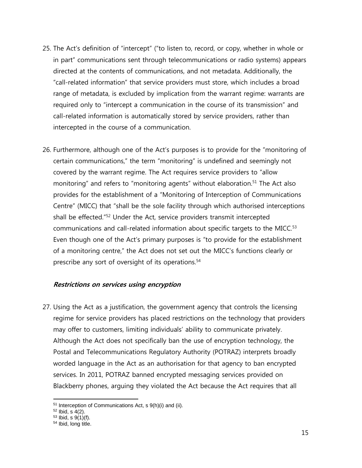- 25. The Act's definition of "intercept" ("to listen to, record, or copy, whether in whole or in part" communications sent through telecommunications or radio systems) appears directed at the contents of communications, and not metadata. Additionally, the "call-related information" that service providers must store, which includes a broad range of metadata, is excluded by implication from the warrant regime: warrants are required only to "intercept a communication in the course of its transmission" and call-related information is automatically stored by service providers, rather than intercepted in the course of a communication.
- 26. Furthermore, although one of the Act's purposes is to provide for the "monitoring of certain communications," the term "monitoring" is undefined and seemingly not covered by the warrant regime. The Act requires service providers to "allow monitoring" and refers to "monitoring agents" without elaboration.<sup>51</sup> The Act also provides for the establishment of a "Monitoring of Interception of Communications Centre" (MICC) that "shall be the sole facility through which authorised interceptions shall be effected."<sup>52</sup> Under the Act, service providers transmit intercepted communications and call-related information about specific targets to the MICC.<sup>53</sup> Even though one of the Act's primary purposes is "to provide for the establishment of a monitoring centre," the Act does not set out the MICC's functions clearly or prescribe any sort of oversight of its operations.<sup>54</sup>

# **Restrictions on services using encryption**

27. Using the Act as a justification, the government agency that controls the licensing regime for service providers has placed restrictions on the technology that providers may offer to customers, limiting individuals' ability to communicate privately. Although the Act does not specifically ban the use of encryption technology, the Postal and Telecommunications Regulatory Authority (POTRAZ) interprets broadly worded language in the Act as an authorisation for that agency to ban encrypted services. In 2011, POTRAZ banned encrypted messaging services provided on Blackberry phones, arguing they violated the Act because the Act requires that all

<sup>51</sup> Interception of Communications Act, s 9(h)(i) and (ii).

<sup>52</sup> Ibid, s 4(2).

<sup>53</sup> Ibid, s 9(1)(f).

<sup>54</sup> Ibid, long title.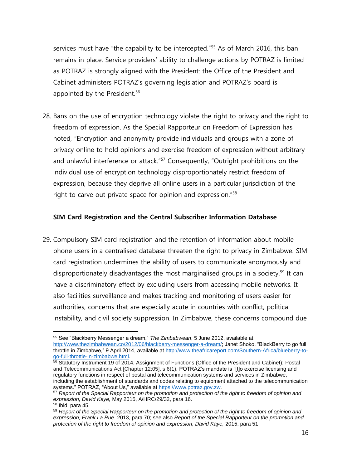services must have "the capability to be intercepted."<sup>55</sup> As of March 2016, this ban remains in place. Service providers' ability to challenge actions by POTRAZ is limited as POTRAZ is strongly aligned with the President: the Office of the President and Cabinet administers POTRAZ's governing legislation and POTRAZ's board is appointed by the President.<sup>56</sup>

28. Bans on the use of encryption technology violate the right to privacy and the right to freedom of expression. As the Special Rapporteur on Freedom of Expression has noted, "Encryption and anonymity provide individuals and groups with a zone of privacy online to hold opinions and exercise freedom of expression without arbitrary and unlawful interference or attack.<sup>"57</sup> Consequently, "Outright prohibitions on the individual use of encryption technology disproportionately restrict freedom of expression, because they deprive all online users in a particular jurisdiction of the right to carve out private space for opinion and expression."<sup>58</sup>

#### **SIM Card Registration and the Central Subscriber Information Database**

29. Compulsory SIM card registration and the retention of information about mobile phone users in a centralised database threaten the right to privacy in Zimbabwe. SIM card registration undermines the ability of users to communicate anonymously and disproportionately disadvantages the most marginalised groups in a society. <sup>59</sup> It can have a discriminatory effect by excluding users from accessing mobile networks. It also facilities surveillance and makes tracking and monitoring of users easier for authorities, concerns that are especially acute in countries with conflict, political instability, and civil society suppression. In Zimbabwe, these concerns compound due

 $\overline{a}$ <sup>55</sup> See "Blackberry Messenger a dream," *The Zimbabwean*, 5 June 2012, available at [http://www.thezimbabwean.co/2012/06/blackberry-messenger-a-dream/;](http://www.thezimbabwean.co/2012/06/blackberry-messenger-a-dream/) Janet Shoko, "BlackBerry to go full throttle in Zimbabwe," 9 April 2014, available at [http://www.theafricareport.com/Southern-Africa/blueberry-to](http://www.theafricareport.com/Southern-Africa/blueberry-to-go-full-throttle-in-zimbabwe.html)[go-full-throttle-in-zimbabwe.html.](http://www.theafricareport.com/Southern-Africa/blueberry-to-go-full-throttle-in-zimbabwe.html)

<sup>&</sup>lt;sup>56</sup> Statutory Instrument 19 of 2014, Assignment of Functions (Office of the President and Cabinet); Postal and Telecommunications Act [Chapter 12:05], s 6(1). POTRAZ's mandate is "[t]o exercise licensing and regulatory functions in respect of postal and telecommunication systems and services in Zimbabwe, including the establishment of standards and codes relating to equipment attached to the telecommunication systems." POTRAZ, "About Us," available a[t https://www.potraz.gov.zw.](https://www.potraz.gov.zw/)

<sup>57</sup> *Report of the Special Rapporteur on the promotion and protection of the right to freedom of opinion and expression, David Kaye,* May 2015, A/HRC/29/32, para 16.

<sup>58</sup> Ibid, para 45.

<sup>59</sup> *Report of the Special Rapporteur on the promotion and protection of the right to freedom of opinion and expression, Frank La Rue*, 2013, para 70; see also *Report of the Special Rapporteur on the promotion and protection of the right to freedom of opinion and expression, David Kaye,* 2015, para 51.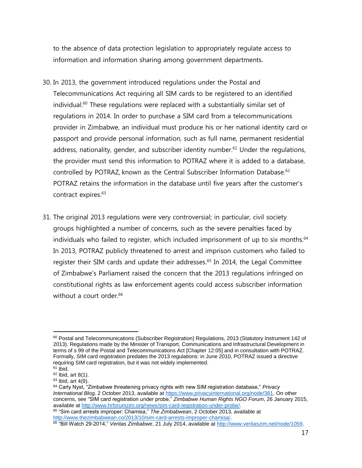to the absence of data protection legislation to appropriately regulate access to information and information sharing among government departments.

- 30. In 2013, the government introduced regulations under the Postal and Telecommunications Act requiring all SIM cards to be registered to an identified individual.<sup>60</sup> These regulations were replaced with a substantially similar set of regulations in 2014. In order to purchase a SIM card from a telecommunications provider in Zimbabwe, an individual must produce his or her national identity card or passport and provide personal information, such as full name, permanent residential address, nationality, gender, and subscriber identity number.<sup>61</sup> Under the regulations, the provider must send this information to POTRAZ where it is added to a database, controlled by POTRAZ, known as the Central Subscriber Information Database.<sup>62</sup> POTRAZ retains the information in the database until five years after the customer's contract expires.<sup>63</sup>
- 31. The original 2013 regulations were very controversial; in particular, civil society groups highlighted a number of concerns, such as the severe penalties faced by individuals who failed to register, which included imprisonment of up to six months.<sup>64</sup> In 2013, POTRAZ publicly threatened to arrest and imprison customers who failed to register their SIM cards and update their addresses.<sup>65</sup> In 2014, the Legal Committee of Zimbabwe's Parliament raised the concern that the 2013 regulations infringed on constitutional rights as law enforcement agents could access subscriber information without a court order. 66

 $\overline{a}$ <sup>60</sup> Postal and Telecommunications (Subscriber Registration) Regulations, 2013 (Statutory Instrument 142 of 2013). Regulations made by the Minister of Transport, Communications and Infrastructural Development in terms of s 99 of the Postal and Telecommunications Act [Chapter 12:05] and in consultation with POTRAZ. Formally, SIM card registration predates the 2013 regulations: in June 2010, POTRAZ issued a directive requiring SIM card registration, but it was not widely implemented.

 $61$  Ibid.

 $62$  Ibid, art 8(1).

 $63$  Ibid, art  $4(9)$ .

<sup>64</sup> Carly Nyst, "Zimbabwe threatening privacy rights with new SIM registration database," *Privacy International Blog,* 2 October 2013, available at [https://www.privacyinternational.org/node/381.](https://www.privacyinternational.org/node/381) On other concerns, see "SIM card registration under probe," *Zimbabwe Human Rights NGO Forum*, 26 January 2015, available at [http://www.hrforumzim.org/news/sim-card-registration-under-probe/.](http://www.hrforumzim.org/news/sim-card-registration-under-probe/)

<sup>65</sup> "Sim card arrests improper: Chamisa," *The Zimbabwean*, 2 October 2013, available at [http://www.thezimbabwean.co/2013/10/sim-card-arrests-improper-chamisa/.](http://www.thezimbabwean.co/2013/10/sim-card-arrests-improper-chamisa/)

<sup>66</sup> "Bill Watch 29-2014," *Veritas Zimbabwe*, 21 July 2014, available at [http://www.veritaszim.net/node/1059.](http://www.veritaszim.net/node/1059)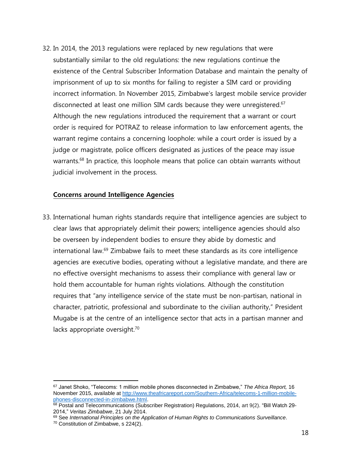32. In 2014, the 2013 regulations were replaced by new regulations that were substantially similar to the old regulations: the new regulations continue the existence of the Central Subscriber Information Database and maintain the penalty of imprisonment of up to six months for failing to register a SIM card or providing incorrect information. In November 2015, Zimbabwe's largest mobile service provider disconnected at least one million SIM cards because they were unregistered.<sup>67</sup> Although the new regulations introduced the requirement that a warrant or court order is required for POTRAZ to release information to law enforcement agents, the warrant regime contains a concerning loophole: while a court order is issued by a judge or magistrate, police officers designated as justices of the peace may issue warrants. <sup>68</sup> In practice, this loophole means that police can obtain warrants without judicial involvement in the process.

#### **Concerns around Intelligence Agencies**

33. International human rights standards require that intelligence agencies are subject to clear laws that appropriately delimit their powers; intelligence agencies should also be overseen by independent bodies to ensure they abide by domestic and international law. <sup>69</sup> Zimbabwe fails to meet these standards as its core intelligence agencies are executive bodies, operating without a legislative mandate, and there are no effective oversight mechanisms to assess their compliance with general law or hold them accountable for human rights violations. Although the constitution requires that "any intelligence service of the state must be non-partisan, national in character, patriotic, professional and subordinate to the civilian authority," President Mugabe is at the centre of an intelligence sector that acts in a partisan manner and lacks appropriate oversight.<sup>70</sup>

<sup>67</sup> Janet Shoko, "Telecoms: 1 million mobile phones disconnected in Zimbabwe," *The Africa Report,* 16 November 2015, available at [http://www.theafricareport.com/Southern-Africa/telecoms-1-million-mobile](http://www.theafricareport.com/Southern-Africa/telecoms-1-million-mobile-phones-disconnected-in-zimbabwe.html)[phones-disconnected-in-zimbabwe.html.](http://www.theafricareport.com/Southern-Africa/telecoms-1-million-mobile-phones-disconnected-in-zimbabwe.html)

<sup>&</sup>lt;sup>68</sup> Postal and Telecommunications (Subscriber Registration) Regulations, 2014, art 9(2). "Bill Watch 29-2014," *Veritas Zimbabwe*, 21 July 2014.

<sup>69</sup> See *International Principles on the Application of Human Rights to Communications Surveillance*.

<sup>70</sup> Constitution of Zimbabwe, s 224(2).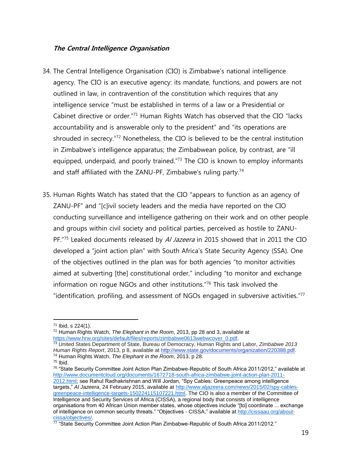#### **The Central Intelligence Organisation**

- 34. The Central Intelligence Organisation (CIO) is Zimbabwe's national intelligence agency. The CIO is an executive agency: its mandate, functions, and powers are not outlined in law, in contravention of the constitution which requires that any intelligence service "must be established in terms of a law or a Presidential or Cabinet directive or order."<sup>71</sup> Human Rights Watch has observed that the CIO "lacks accountability and is answerable only to the president" and "its operations are shrouded in secrecy."<sup>72</sup> Nonetheless, the CIO is believed to be the central institution in Zimbabwe's intelligence apparatus; the Zimbabwean police, by contrast, are "ill equipped, underpaid, and poorly trained."<sup>73</sup> The CIO is known to employ informants and staff affiliated with the ZANU-PF, Zimbabwe's ruling party.<sup>74</sup>
- 35. Human Rights Watch has stated that the CIO "appears to function as an agency of ZANU-PF" and "[c]ivil society leaders and the media have reported on the CIO conducting surveillance and intelligence gathering on their work and on other people and groups within civil society and political parties, perceived as hostile to ZANU-PF."<sup>75</sup> Leaked documents released by A/ Jazeera in 2015 showed that in 2011 the CIO developed a "joint action plan" with South Africa's State Security Agency (SSA). One of the objectives outlined in the plan was for both agencies "to monitor activities aimed at subverting [the] constitutional order," including "to monitor and exchange information on rogue NGOs and other institutions."<sup>76</sup> This task involved the "identification, profiling, and assessment of NGOs engaged in subversive activities."<sup>77</sup>

<sup>73</sup> United States Department of State, Bureau of Democracy, Human Rights and Labor, *Zimbabwe 2013 Human Rights Report*, 2013, p 8, available at [http://www.state.gov/documents/organization/220388.pdf.](http://www.state.gov/documents/organization/220388.pdf) <sup>74</sup> Human Rights Watch, *The Elephant in the Room*, 2013, p 28.

 $71$  Ibid, s  $224(1)$ .

<sup>72</sup> Human Rights Watch, *The Elephant in the Room*, 2013, pp 28 and 3, available at [https://www.hrw.org/sites/default/files/reports/zimbabwe0613webwcover\\_0.pdf.](https://www.hrw.org/sites/default/files/reports/zimbabwe0613webwcover_0.pdf)

 $75$  Ibid.

<sup>76</sup> "State Security Committee Joint Action Plan Zimbabwe-Republic of South Africa 2011/2012," available at [http://www.documentcloud.org/documents/1672718-south-africa-zimbabwe-joint-action-plan-2011-](http://www.documentcloud.org/documents/1672718-south-africa-zimbabwe-joint-action-plan-2011-2012.html) [2012.html;](http://www.documentcloud.org/documents/1672718-south-africa-zimbabwe-joint-action-plan-2011-2012.html) see Rahul Radhakrishnan and Will Jordan, "Spy Cables: Greenpeace among intelligence targets," *Al Jazeera*, 24 February 2015, available at [http://www.aljazeera.com/news/2015/02/spy-cables](http://www.aljazeera.com/news/2015/02/spy-cables-greenpeace-intelligence-targets-150224115107221.html)[greenpeace-intelligence-targets-150224115107221.html.](http://www.aljazeera.com/news/2015/02/spy-cables-greenpeace-intelligence-targets-150224115107221.html) The CIO is also a member of the Committee of Intelligence and Security Services of Africa (CISSA), a regional body that consists of intelligence organisations from 40 African Union member states, whose objectives include "[to] coordinate ... exchange of intelligence on common security threats." "Objectives - CISSA," available at [http://cissaau.org/about](http://cissaau.org/about-cissa/objectives/)[cissa/objectives/.](http://cissaau.org/about-cissa/objectives/)

<sup>77 &</sup>quot;State Security Committee Joint Action Plan Zimbabwe-Republic of South Africa 2011/2012."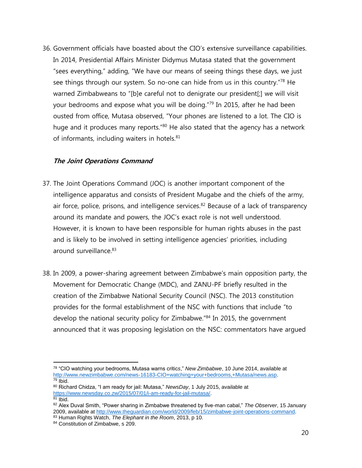36. Government officials have boasted about the CIO's extensive surveillance capabilities. In 2014, Presidential Affairs Minister Didymus Mutasa stated that the government "sees everything," adding, "We have our means of seeing things these days, we just see things through our system. So no-one can hide from us in this country."<sup>78</sup> He warned Zimbabweans to "[b]e careful not to denigrate our president[;] we will visit your bedrooms and expose what you will be doing."<sup>79</sup> In 2015, after he had been ousted from office, Mutasa observed, "Your phones are listened to a lot. The CIO is huge and it produces many reports.<sup>"80</sup> He also stated that the agency has a network of informants, including waiters in hotels.<sup>81</sup>

#### **The Joint Operations Command**

- 37. The Joint Operations Command (JOC) is another important component of the intelligence apparatus and consists of President Mugabe and the chiefs of the army, air force, police, prisons, and intelligence services.<sup>82</sup> Because of a lack of transparency around its mandate and powers, the JOC's exact role is not well understood. However, it is known to have been responsible for human rights abuses in the past and is likely to be involved in setting intelligence agencies' priorities, including around surveillance.<sup>83</sup>
- 38. In 2009, a power-sharing agreement between Zimbabwe's main opposition party, the Movement for Democratic Change (MDC), and ZANU-PF briefly resulted in the creation of the Zimbabwe National Security Council (NSC). The 2013 constitution provides for the formal establishment of the NSC with functions that include "to develop the national security policy for Zimbabwe." <sup>84</sup> In 2015, the government announced that it was proposing legislation on the NSC: commentators have argued

<sup>83</sup> Human Rights Watch, *The Elephant in the Room*, 2013, p 10.

 $\overline{a}$ <sup>78</sup> "CIO watching your bedrooms, Mutasa warns critic*s*," *New Zimbabwe*, 10 June 2014, available at [http://www.newzimbabwe.com/news-16183-CIO+watching+your+bedrooms,+Mutasa/news.asp.](http://www.newzimbabwe.com/news-16183-CIO+watching+your+bedrooms,+Mutasa/news.asp)  $79$  Ibid.

<sup>80</sup> Richard Chidza, "I am ready for jail: Mutasa," *NewsDay*, 1 July 2015, available at [https://www.newsday.co.zw/2015/07/01/i-am-ready-for-jail-mutasa/.](https://www.newsday.co.zw/2015/07/01/i-am-ready-for-jail-mutasa/)  $\overline{81}$  Ibid.

<sup>82</sup> Alex Duval Smith, "Power sharing in Zimbabwe threatened by five-man cabal," *The Observer*, 15 January 2009, available at [http://www.theguardian.com/world/2009/feb/15/zimbabwe-joint-operations-command.](http://www.theguardian.com/world/2009/feb/15/zimbabwe-joint-operations-command)

<sup>84</sup> Constitution of Zimbabwe, s 209.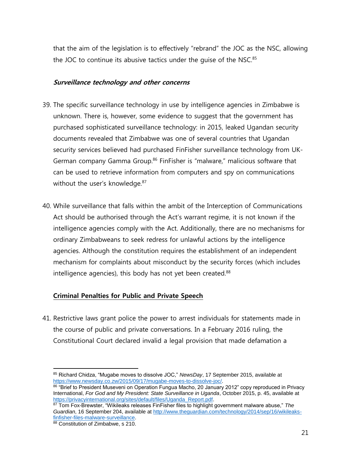that the aim of the legislation is to effectively "rebrand" the JOC as the NSC, allowing the JOC to continue its abusive tactics under the quise of the NSC.<sup>85</sup>

### **Surveillance technology and other concerns**

- 39. The specific surveillance technology in use by intelligence agencies in Zimbabwe is unknown. There is, however, some evidence to suggest that the government has purchased sophisticated surveillance technology: in 2015, leaked Ugandan security documents revealed that Zimbabwe was one of several countries that Ugandan security services believed had purchased FinFisher surveillance technology from UK-German company Gamma Group.<sup>86</sup> FinFisher is "malware," malicious software that can be used to retrieve information from computers and spy on communications without the user's knowledge.<sup>87</sup>
- 40. While surveillance that falls within the ambit of the Interception of Communications Act should be authorised through the Act's warrant regime, it is not known if the intelligence agencies comply with the Act. Additionally, there are no mechanisms for ordinary Zimbabweans to seek redress for unlawful actions by the intelligence agencies. Although the constitution requires the establishment of an independent mechanism for complaints about misconduct by the security forces (which includes intelligence agencies), this body has not yet been created.<sup>88</sup>

# **Criminal Penalties for Public and Private Speech**

41. Restrictive laws grant police the power to arrest individuals for statements made in the course of public and private conversations. In a February 2016 ruling, the Constitutional Court declared invalid a legal provision that made defamation a

 $\overline{a}$ <sup>85</sup> Richard Chidza, "Mugabe moves to dissolve JOC," *NewsDay*, 17 September 2015, available at [https://www.newsday.co.zw/2015/09/17/mugabe-moves-to-dissolve-joc/.](https://www.newsday.co.zw/2015/09/17/mugabe-moves-to-dissolve-joc/)

<sup>86 &</sup>quot;Brief to President Museveni on Operation Fungua Macho, 20 January 2012" copy reproduced in Privacy International, *For God and My President: State Surveillance in Uganda*, October 2015, p. 45, available at [https://privacyinternational.org/sites/default/files/Uganda\\_Report.pdf.](https://privacyinternational.org/sites/default/files/Uganda_Report.pdf)

<sup>87</sup> Tom Fox-Brewster, "Wikileaks releases FinFisher files to highlight government malware abuse," *The Guardian*, 16 September 204, available at [http://www.theguardian.com/technology/2014/sep/16/wikileaks](http://www.theguardian.com/technology/2014/sep/16/wikileaks-finfisher-files-malware-surveillance)[finfisher-files-malware-surveillance.](http://www.theguardian.com/technology/2014/sep/16/wikileaks-finfisher-files-malware-surveillance)

<sup>88</sup> Constitution of Zimbabwe, s 210.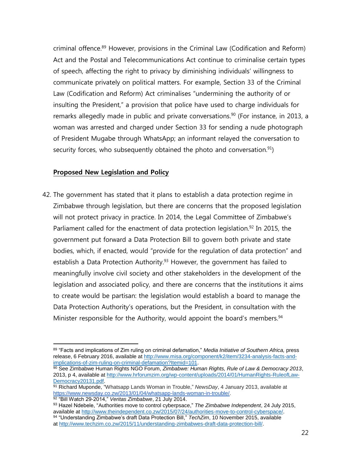criminal offence.<sup>89</sup> However, provisions in the Criminal Law (Codification and Reform) Act and the Postal and Telecommunications Act continue to criminalise certain types of speech, affecting the right to privacy by diminishing individuals' willingness to communicate privately on political matters. For example, Section 33 of the Criminal Law (Codification and Reform) Act criminalises "undermining the authority of or insulting the President," a provision that police have used to charge individuals for remarks allegedly made in public and private conversations.<sup>90</sup> (For instance, in 2013, a woman was arrested and charged under Section 33 for sending a nude photograph of President Mugabe through WhatsApp; an informant relayed the conversation to security forces, who subsequently obtained the photo and conversation.<sup>91</sup>)

# **Proposed New Legislation and Policy**

42. The government has stated that it plans to establish a data protection regime in Zimbabwe through legislation, but there are concerns that the proposed legislation will not protect privacy in practice. In 2014, the Legal Committee of Zimbabwe's Parliament called for the enactment of data protection legislation.<sup>92</sup> In 2015, the government put forward a Data Protection Bill to govern both private and state bodies, which, if enacted, would "provide for the regulation of data protection" and establish a Data Protection Authority.<sup>93</sup> However, the government has failed to meaningfully involve civil society and other stakeholders in the development of the legislation and associated policy, and there are concerns that the institutions it aims to create would be partisan: the legislation would establish a board to manage the Data Protection Authority's operations, but the President, in consultation with the Minister responsible for the Authority, would appoint the board's members.<sup>94</sup>

 $\overline{a}$ <sup>89</sup> "Facts and implications of Zim ruling on criminal defamation," *Media Initiative of Southern Africa,* press release, 6 February 2016, available a[t http://www.misa.org/component/k2/item/3234-analysis-facts-and](http://www.misa.org/component/k2/item/3234-analysis-facts-and-implications-of-zim-ruling-on-criminal-defamation?Itemid=101)[implications-of-zim-ruling-on-criminal-defamation?Itemid=101.](http://www.misa.org/component/k2/item/3234-analysis-facts-and-implications-of-zim-ruling-on-criminal-defamation?Itemid=101)

<sup>90</sup> See Zimbabwe Human Rights NGO Forum, *Zimbabwe: Human Rights, Rule of Law & Democracy 2013*, 2013, p 4, available a[t http://www.hrforumzim.org/wp-content/uploads/2014/01/HumanRights-RuleofLaw-](http://www.hrforumzim.org/wp-content/uploads/2014/01/HumanRights-RuleofLaw-Democracy20131.pdf)[Democracy20131.pdf.](http://www.hrforumzim.org/wp-content/uploads/2014/01/HumanRights-RuleofLaw-Democracy20131.pdf)

<sup>&</sup>lt;sup>91</sup> Richard Muponde, "Whatsapp Lands Woman in Trouble," NewsDay, 4 January 2013, available at [https://www.newsday.co.zw/2013/01/04/whatsapp-lands-woman-in-trouble/.](https://www.newsday.co.zw/2013/01/04/whatsapp-lands-woman-in-trouble/) <sup>92</sup> "Bill Watch 29-2014," *Veritas Zimbabwe*, 21 July 2014.

<sup>93</sup> Hazel Ndebele, "Authorities move to control cyberpsace," *The Zimbabwe Independent*, 24 July 2015, available at [http://www.theindependent.co.zw/2015/07/24/authorities-move-to-control-cyberspace/.](http://www.theindependent.co.zw/2015/07/24/authorities-move-to-control-cyberspace/) 94 "Understanding Zimbabwe's draft Data Protection Bill," *TechZim*, 10 November 2015, available at [http://www.techzim.co.zw/2015/11/understanding-zimbabwes-draft-data-protection-bill/.](http://www.techzim.co.zw/2015/11/understanding-zimbabwes-draft-data-protection-bill/)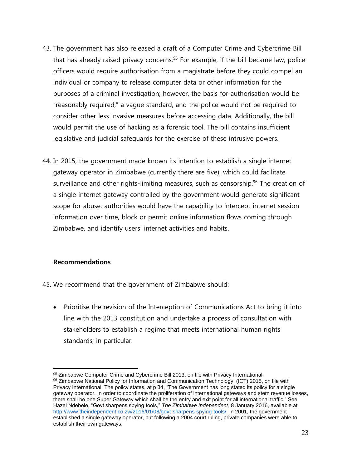- 43. The government has also released a draft of a Computer Crime and Cybercrime Bill that has already raised privacy concerns.<sup>95</sup> For example, if the bill became law, police officers would require authorisation from a magistrate before they could compel an individual or company to release computer data or other information for the purposes of a criminal investigation; however, the basis for authorisation would be "reasonably required," a vague standard, and the police would not be required to consider other less invasive measures before accessing data. Additionally, the bill would permit the use of hacking as a forensic tool. The bill contains insufficient legislative and judicial safeguards for the exercise of these intrusive powers.
- 44. In 2015, the government made known its intention to establish a single internet gateway operator in Zimbabwe (currently there are five), which could facilitate surveillance and other rights-limiting measures, such as censorship.<sup>96</sup> The creation of a single internet gateway controlled by the government would generate significant scope for abuse: authorities would have the capability to intercept internet session information over time, block or permit online information flows coming through Zimbabwe, and identify users' internet activities and habits.

#### **Recommendations**

- 45. We recommend that the government of Zimbabwe should:
	- Prioritise the revision of the Interception of Communications Act to bring it into line with the 2013 constitution and undertake a process of consultation with stakeholders to establish a regime that meets international human rights standards; in particular:

 $\overline{a}$ 95 Zimbabwe Computer Crime and Cybercrime Bill 2013, on file with Privacy International.

<sup>&</sup>lt;sup>96</sup> Zimbabwe National Policy for Information and Communication Technology (ICT) 2015, on file with Privacy International. The policy states, at p 34, "The Government has long stated its policy for a single gateway operator. In order to coordinate the proliferation of international gateways and stem revenue losses, there shall be one Super Gateway which shall be the entry and exit point for all international traffic." See Hazel Ndebele, "Govt sharpens spying tools," *The Zimbabwe Independent*, 8 January 2016, available at [http://www.theindependent.co.zw/2016/01/08/govt-sharpens-spying-tools/.](http://www.theindependent.co.zw/2016/01/08/govt-sharpens-spying-tools/) In 2001, the government established a single gateway operator, but following a 2004 court ruling, private companies were able to establish their own gateways.